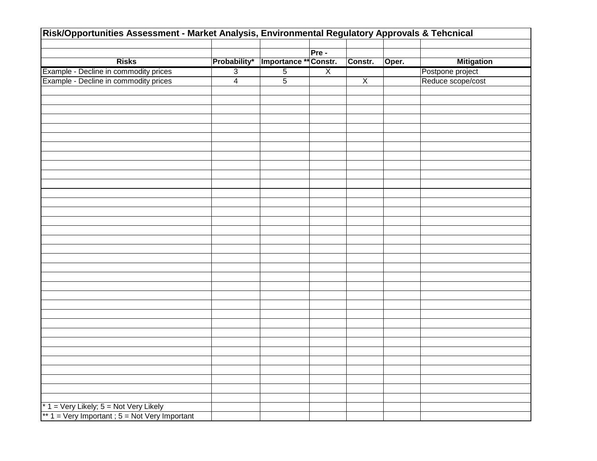| Risk/Opportunities Assessment - Market Analysis, Environmental Regulatory Approvals & Tehcnical |                |                       |                |                |       |                   |  |
|-------------------------------------------------------------------------------------------------|----------------|-----------------------|----------------|----------------|-------|-------------------|--|
|                                                                                                 |                |                       |                |                |       |                   |  |
|                                                                                                 |                |                       | Pre -          |                |       |                   |  |
| <b>Risks</b>                                                                                    | Probability*   | Importance ** Constr. |                | Constr.        | Oper. | <b>Mitigation</b> |  |
| Example - Decline in commodity prices                                                           | $\overline{3}$ | $\overline{5}$        | $\overline{X}$ |                |       | Postpone project  |  |
| Example - Decline in commodity prices                                                           | $\overline{4}$ | $\overline{5}$        |                | $\overline{X}$ |       | Reduce scope/cost |  |
|                                                                                                 |                |                       |                |                |       |                   |  |
|                                                                                                 |                |                       |                |                |       |                   |  |
|                                                                                                 |                |                       |                |                |       |                   |  |
|                                                                                                 |                |                       |                |                |       |                   |  |
|                                                                                                 |                |                       |                |                |       |                   |  |
|                                                                                                 |                |                       |                |                |       |                   |  |
|                                                                                                 |                |                       |                |                |       |                   |  |
|                                                                                                 |                |                       |                |                |       |                   |  |
|                                                                                                 |                |                       |                |                |       |                   |  |
|                                                                                                 |                |                       |                |                |       |                   |  |
|                                                                                                 |                |                       |                |                |       |                   |  |
|                                                                                                 |                |                       |                |                |       |                   |  |
|                                                                                                 |                |                       |                |                |       |                   |  |
|                                                                                                 |                |                       |                |                |       |                   |  |
|                                                                                                 |                |                       |                |                |       |                   |  |
|                                                                                                 |                |                       |                |                |       |                   |  |
|                                                                                                 |                |                       |                |                |       |                   |  |
|                                                                                                 |                |                       |                |                |       |                   |  |
|                                                                                                 |                |                       |                |                |       |                   |  |
|                                                                                                 |                |                       |                |                |       |                   |  |
|                                                                                                 |                |                       |                |                |       |                   |  |
|                                                                                                 |                |                       |                |                |       |                   |  |
|                                                                                                 |                |                       |                |                |       |                   |  |
|                                                                                                 |                |                       |                |                |       |                   |  |
|                                                                                                 |                |                       |                |                |       |                   |  |
|                                                                                                 |                |                       |                |                |       |                   |  |
|                                                                                                 |                |                       |                |                |       |                   |  |
|                                                                                                 |                |                       |                |                |       |                   |  |
|                                                                                                 |                |                       |                |                |       |                   |  |
|                                                                                                 |                |                       |                |                |       |                   |  |
|                                                                                                 |                |                       |                |                |       |                   |  |
|                                                                                                 |                |                       |                |                |       |                   |  |
|                                                                                                 |                |                       |                |                |       |                   |  |
|                                                                                                 |                |                       |                |                |       |                   |  |
|                                                                                                 |                |                       |                |                |       |                   |  |
| $* 1 = Very$ Likely; $5 = Not$ Very Likely                                                      |                |                       |                |                |       |                   |  |
| ** 1 = Very Important ; 5 = Not Very Important                                                  |                |                       |                |                |       |                   |  |